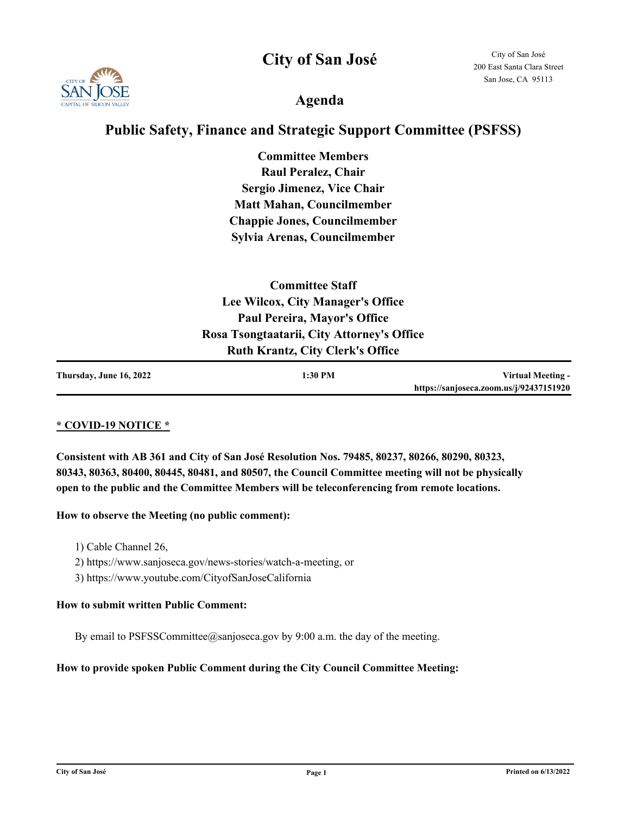**City of San José**



## **Agenda**

### **Public Safety, Finance and Strategic Support Committee (PSFSS)**

**Committee Members Raul Peralez, Chair Sergio Jimenez, Vice Chair Matt Mahan, Councilmember Chappie Jones, Councilmember Sylvia Arenas, Councilmember**

| <b>Committee Staff</b>                     |  |
|--------------------------------------------|--|
| Lee Wilcox, City Manager's Office          |  |
| <b>Paul Pereira, Mayor's Office</b>        |  |
| Rosa Tsongtaatarii, City Attorney's Office |  |
| <b>Ruth Krantz, City Clerk's Office</b>    |  |
|                                            |  |

| Thursday, June 16, 2022 | 1:30 PM | Virtual Meeting -                       |
|-------------------------|---------|-----------------------------------------|
|                         |         | https://sanjoseca.zoom.us/j/92437151920 |

#### **\* COVID-19 NOTICE \***

**Consistent with AB 361 and City of San José Resolution Nos. 79485, 80237, 80266, 80290, 80323, 80343, 80363, 80400, 80445, 80481, and 80507, the Council Committee meeting will not be physically open to the public and the Committee Members will be teleconferencing from remote locations.**

#### **How to observe the Meeting (no public comment):**

- 1) Cable Channel 26,
- 2) https://www.sanjoseca.gov/news-stories/watch-a-meeting, or
- 3) https://www.youtube.com/CityofSanJoseCalifornia

#### **How to submit written Public Comment:**

By email to PSFSSCommittee@sanjoseca.gov by 9:00 a.m. the day of the meeting.

#### **How to provide spoken Public Comment during the City Council Committee Meeting:**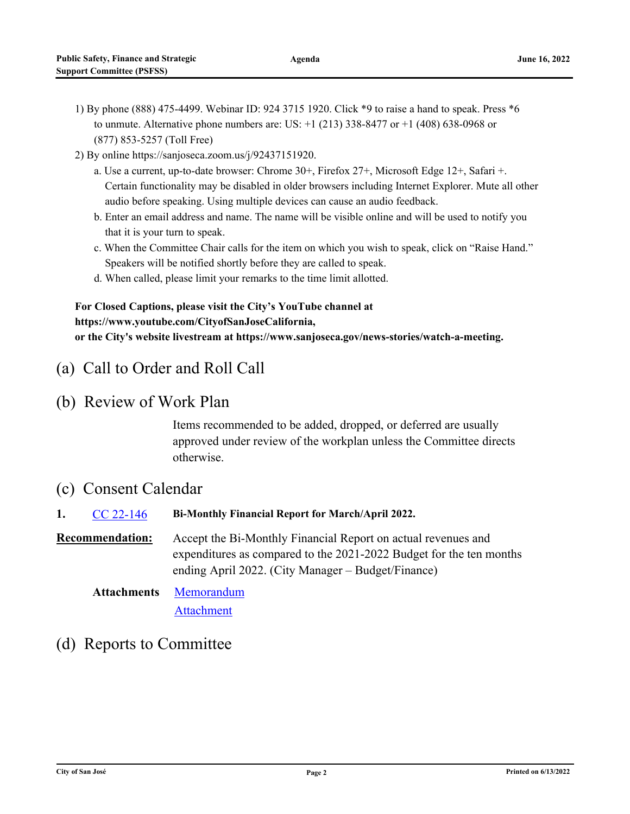- 1) By phone (888) 475-4499. Webinar ID: 924 3715 1920. Click \*9 to raise a hand to speak. Press \*6 to unmute. Alternative phone numbers are: US:  $+1$  (213) 338-8477 or  $+1$  (408) 638-0968 or (877) 853-5257 (Toll Free)
- 2) By online https://sanjoseca.zoom.us/j/92437151920.
	- a. Use a current, up-to-date browser: Chrome 30+, Firefox 27+, Microsoft Edge 12+, Safari +. Certain functionality may be disabled in older browsers including Internet Explorer. Mute all other audio before speaking. Using multiple devices can cause an audio feedback.
	- b. Enter an email address and name. The name will be visible online and will be used to notify you that it is your turn to speak.
	- c. When the Committee Chair calls for the item on which you wish to speak, click on "Raise Hand." Speakers will be notified shortly before they are called to speak.
	- d. When called, please limit your remarks to the time limit allotted.

### **For Closed Captions, please visit the City's YouTube channel at https://www.youtube.com/CityofSanJoseCalifornia, or the City's website livestream at https://www.sanjoseca.gov/news-stories/watch-a-meeting.**

## (a) Call to Order and Roll Call

(b) Review of Work Plan

Items recommended to be added, dropped, or deferred are usually approved under review of the workplan unless the Committee directs otherwise.

### (c) Consent Calendar

**1.** [CC 22-146](http://sanjose.legistar.com/gateway.aspx?m=l&id=/matter.aspx?key=10955) **Bi-Monthly Financial Report for March/April 2022. Recommendation:** Accept the Bi-Monthly Financial Report on actual revenues and expenditures as compared to the 2021-2022 Budget for the ten months ending April 2022. (City Manager – Budget/Finance)

[Memorandum](http://sanjose.legistar.com/gateway.aspx?M=F&ID=abdb09ce-bed2-4cd4-9efe-f327d7584393.pdf) **Attachments**

[Attachment](http://sanjose.legistar.com/gateway.aspx?M=F&ID=fb5780f8-5052-4652-99ce-c1520551e90b.pdf)

## (d) Reports to Committee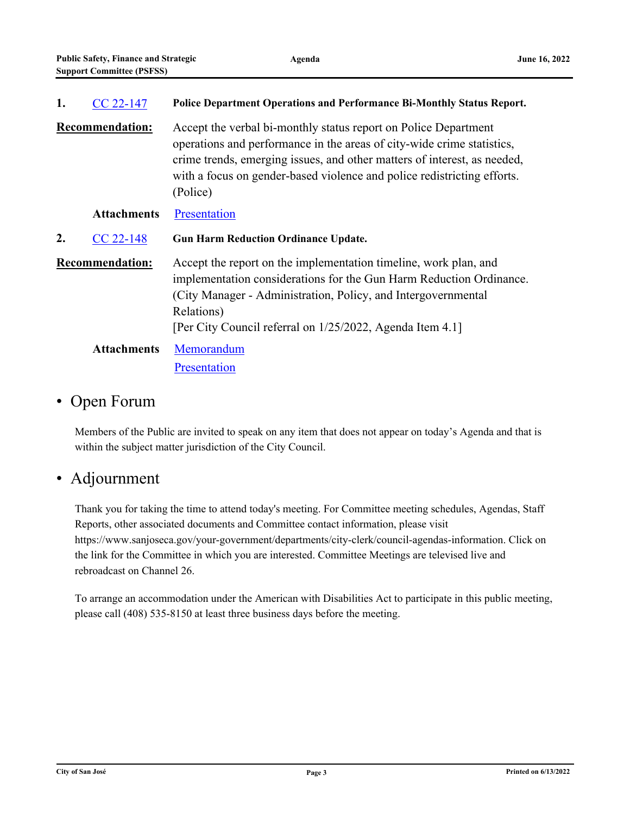| 1.                     | $CC$ 22-147            | Police Department Operations and Performance Bi-Monthly Status Report.                                                                                                                                                                                                                                       |
|------------------------|------------------------|--------------------------------------------------------------------------------------------------------------------------------------------------------------------------------------------------------------------------------------------------------------------------------------------------------------|
|                        | <b>Recommendation:</b> | Accept the verbal bi-monthly status report on Police Department<br>operations and performance in the areas of city-wide crime statistics,<br>crime trends, emerging issues, and other matters of interest, as needed,<br>with a focus on gender-based violence and police redistricting efforts.<br>(Police) |
|                        | <b>Attachments</b>     | Presentation                                                                                                                                                                                                                                                                                                 |
| 2.                     | $CC$ 22-148            | <b>Gun Harm Reduction Ordinance Update.</b>                                                                                                                                                                                                                                                                  |
| <b>Recommendation:</b> |                        | Accept the report on the implementation timeline, work plan, and<br>implementation considerations for the Gun Harm Reduction Ordinance.<br>(City Manager - Administration, Policy, and Intergovernmental<br>Relations)<br>[Per City Council referral on 1/25/2022, Agenda Item 4.1]                          |
| <b>Attachments</b>     |                        | Memorandum                                                                                                                                                                                                                                                                                                   |

## • Open Forum

Members of the Public are invited to speak on any item that does not appear on today's Agenda and that is within the subject matter jurisdiction of the City Council.

# • Adjournment

Thank you for taking the time to attend today's meeting. For Committee meeting schedules, Agendas, Staff Reports, other associated documents and Committee contact information, please visit https://www.sanjoseca.gov/your-government/departments/city-clerk/council-agendas-information. Click on the link for the Committee in which you are interested. Committee Meetings are televised live and rebroadcast on Channel 26.

To arrange an accommodation under the American with Disabilities Act to participate in this public meeting, please call (408) 535-8150 at least three business days before the meeting.